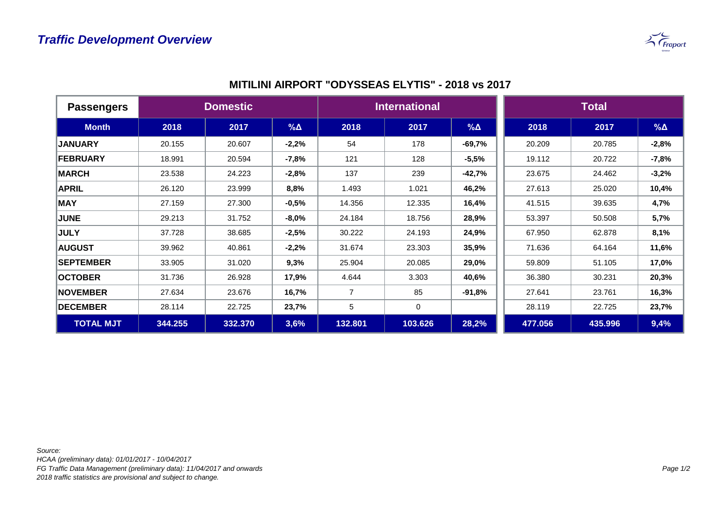

| <b>Passengers</b> | <b>Domestic</b> |         |            | <b>International</b> |         |            | <b>Total</b> |         |               |
|-------------------|-----------------|---------|------------|----------------------|---------|------------|--------------|---------|---------------|
| <b>Month</b>      | 2018            | 2017    | $% \Delta$ | 2018                 | 2017    | $% \Delta$ | 2018         | 2017    | $% \triangle$ |
| <b>JANUARY</b>    | 20.155          | 20.607  | $-2,2%$    | 54                   | 178     | $-69,7%$   | 20.209       | 20.785  | $-2,8%$       |
| FEBRUARY          | 18.991          | 20.594  | $-7,8%$    | 121                  | 128     | $-5,5%$    | 19.112       | 20.722  | $-7,8%$       |
| <b>MARCH</b>      | 23.538          | 24.223  | $-2,8%$    | 137                  | 239     | $-42,7%$   | 23.675       | 24.462  | $-3,2%$       |
| <b>APRIL</b>      | 26.120          | 23.999  | 8,8%       | 1.493                | 1.021   | 46,2%      | 27.613       | 25.020  | 10,4%         |
| <b>MAY</b>        | 27.159          | 27.300  | $-0,5%$    | 14.356               | 12.335  | 16,4%      | 41.515       | 39.635  | 4,7%          |
| <b>JUNE</b>       | 29.213          | 31.752  | $-8,0%$    | 24.184               | 18.756  | 28,9%      | 53.397       | 50.508  | 5,7%          |
| <b>JULY</b>       | 37.728          | 38.685  | $-2,5%$    | 30.222               | 24.193  | 24,9%      | 67.950       | 62.878  | 8,1%          |
| <b>AUGUST</b>     | 39.962          | 40.861  | $-2,2%$    | 31.674               | 23.303  | 35,9%      | 71.636       | 64.164  | 11,6%         |
| <b>SEPTEMBER</b>  | 33.905          | 31.020  | 9,3%       | 25.904               | 20.085  | 29,0%      | 59.809       | 51.105  | 17,0%         |
| <b>OCTOBER</b>    | 31.736          | 26.928  | 17,9%      | 4.644                | 3.303   | 40,6%      | 36.380       | 30.231  | 20,3%         |
| <b>NOVEMBER</b>   | 27.634          | 23.676  | 16,7%      | $\overline{7}$       | 85      | $-91,8%$   | 27.641       | 23.761  | 16,3%         |
| <b>DECEMBER</b>   | 28.114          | 22.725  | 23,7%      | 5                    | 0       |            | 28.119       | 22.725  | 23,7%         |
| <b>TOTAL MJT</b>  | 344.255         | 332.370 | 3,6%       | 132.801              | 103.626 | 28,2%      | 477.056      | 435.996 | 9,4%          |

## **MITILINI AIRPORT "ODYSSEAS ELYTIS" - 2018 vs 2017**